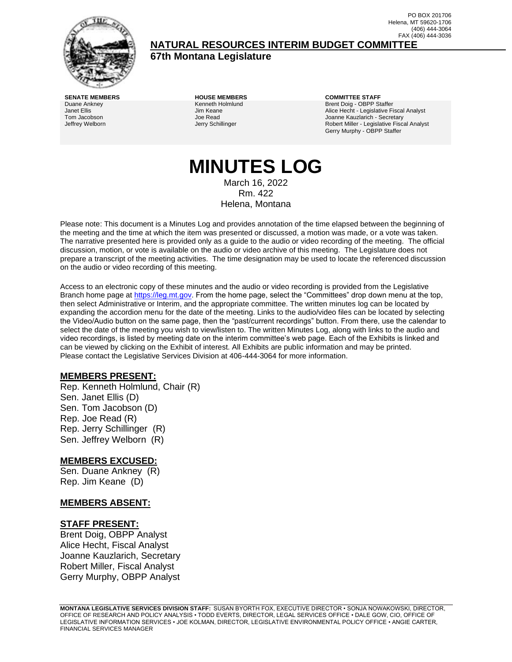

(406) 444-3064 FAX (406) 444-3036 **NATURAL RESOURCES INTERIM BUDGET COMMITTEE**

**67th Montana Legislature**

**SENATE MEMBERS HOUSE MEMBERS COMMITTEE STAFF** Duane Ankney Janet Ellis Tom Jacobson Jeffrey Welborn

Kenneth Holmlund Jim Keane Joe Read Jerry Schillinger

Brent Doig - OBPP Staffer Alice Hecht - Legislative Fiscal Analyst Joanne Kauzlarich - Secretary Robert Miller - Legislative Fiscal Analyst Gerry Murphy - OBPP Staffer

PO BOX 201706 Helena, MT 59620-1706

# **MINUTES LOG** March 16, 2022

Rm. 422 Helena, Montana

Please note: This document is a Minutes Log and provides annotation of the time elapsed between the beginning of the meeting and the time at which the item was presented or discussed, a motion was made, or a vote was taken. The narrative presented here is provided only as a guide to the audio or video recording of the meeting. The official discussion, motion, or vote is available on the audio or video archive of this meeting. The Legislature does not prepare a transcript of the meeting activities. The time designation may be used to locate the referenced discussion on the audio or video recording of this meeting.

Access to an electronic copy of these minutes and the audio or video recording is provided from the Legislative Branch home page a[t https://leg.mt.gov.](http://legmt.gov/) From the home page, select the "Committees" drop down menu at the top, then select Administrative or Interim, and the appropriate committee. The written minutes log can be located by expanding the accordion menu for the date of the meeting. Links to the audio/video files can be located by selecting the Video/Audio button on the same page, then the "past/current recordings" button. From there, use the calendar to select the date of the meeting you wish to view/listen to. The written Minutes Log, along with links to the audio and video recordings, is listed by meeting date on the interim committee's web page. Each of the Exhibits is linked and can be viewed by clicking on the Exhibit of interest. All Exhibits are public information and may be printed. Please contact the Legislative Services Division at 406-444-3064 for more information.

#### **MEMBERS PRESENT:**

Rep. Kenneth Holmlund, Chair (R) Sen. Janet Ellis (D) Sen. Tom Jacobson (D) Rep. Joe Read (R) Rep. Jerry Schillinger (R) Sen. Jeffrey Welborn (R)

#### **MEMBERS EXCUSED:**

Sen. Duane Ankney (R) Rep. Jim Keane (D)

#### **MEMBERS ABSENT:**

#### **STAFF PRESENT:**

Brent Doig, OBPP Analyst Alice Hecht, Fiscal Analyst Joanne Kauzlarich, Secretary Robert Miller, Fiscal Analyst Gerry Murphy, OBPP Analyst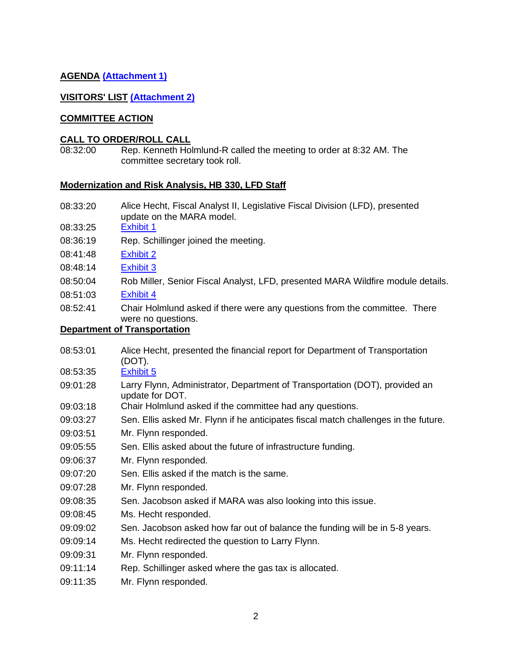# **AGENDA [\(Attachment 1\)](http://legmt.gov/)**

#### **VISITORS' LIST [\(Attachment 2\)](http://legmt.gov/)**

#### **COMMITTEE ACTION**

#### **CALL TO ORDER/ROLL CALL**

08:32:00 Rep. Kenneth Holmlund-R called the meeting to order at 8:32 AM. The committee secretary took roll.

#### **Modernization and Risk Analysis, HB 330, LFD Staff**

- 08:33:20 Alice Hecht, Fiscal Analyst II, Legislative Fiscal Division (LFD), presented update on the MARA model.
- 08:33:25 [Exhibit 1](https://leg.mt.gov/content/publications/fiscal/2023-Interim/March-2022/Short-2040-Model-graphics.pdf)
- 08:36:19 Rep. Schillinger joined the meeting.
- 08:41:48 [Exhibit 2](https://leg.mt.gov/content/publications/fiscal/2023-Interim/IBC-C/Public-Works.pdf)
- 08:48:14 [Exhibit 3](https://leg.mt.gov/content/publications/fiscal/2023-Interim/IBC-D/MARA-Model-Methodology.pdf)
- 08:50:04 Rob Miller, Senior Fiscal Analyst, LFD, presented MARA Wildfire module details.
- 08:51:03 [Exhibit 4](https://leg.mt.gov/content/publications/fiscal/2023-Interim/IBC-C/Wildfire.pdf)
- 08:52:41 Chair Holmlund asked if there were any questions from the committee. There were no questions.

# **Department of Transportation**

08:53:01 Alice Hecht, presented the financial report for Department of Transportation (DOT).

08:53:35 [Exhibit 5](https://leg.mt.gov/content/publications/fiscal/2023-Interim/FY22-March/MDT.pdf)

- 09:01:28 Larry Flynn, Administrator, Department of Transportation (DOT), provided an update for DOT.
- 09:03:18 Chair Holmlund asked if the committee had any questions.
- 09:03:27 Sen. Ellis asked Mr. Flynn if he anticipates fiscal match challenges in the future.
- 09:03:51 Mr. Flynn responded.
- 09:05:55 Sen. Ellis asked about the future of infrastructure funding.
- 09:06:37 Mr. Flynn responded.
- 09:07:20 Sen. Ellis asked if the match is the same.
- 09:07:28 Mr. Flynn responded.
- 09:08:35 Sen. Jacobson asked if MARA was also looking into this issue.
- 09:08:45 Ms. Hecht responded.
- 09:09:02 Sen. Jacobson asked how far out of balance the funding will be in 5-8 years.
- 09:09:14 Ms. Hecht redirected the question to Larry Flynn.
- 09:09:31 Mr. Flynn responded.
- 09:11:14 Rep. Schillinger asked where the gas tax is allocated.
- 09:11:35 Mr. Flynn responded.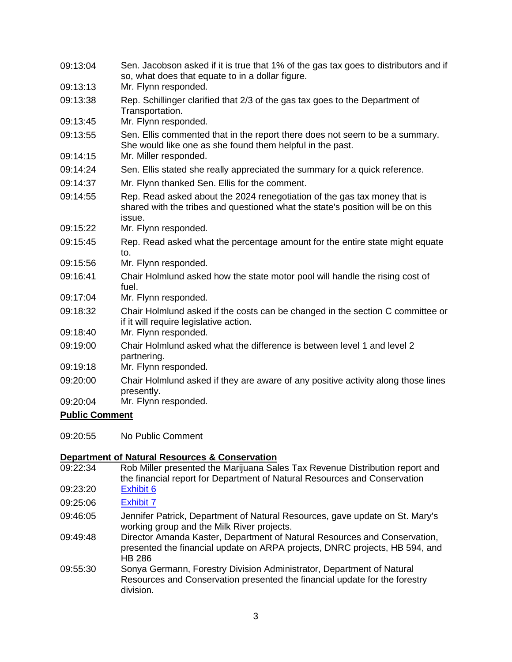| 09:13:04 | Sen. Jacobson asked if it is true that 1% of the gas tax goes to distributors and if<br>so, what does that equate to in a dollar figure.                               |
|----------|------------------------------------------------------------------------------------------------------------------------------------------------------------------------|
| 09:13:13 | Mr. Flynn responded.                                                                                                                                                   |
| 09:13:38 | Rep. Schillinger clarified that 2/3 of the gas tax goes to the Department of<br>Transportation.                                                                        |
| 09:13:45 | Mr. Flynn responded.                                                                                                                                                   |
| 09:13:55 | Sen. Ellis commented that in the report there does not seem to be a summary.<br>She would like one as she found them helpful in the past.                              |
| 09:14:15 | Mr. Miller responded.                                                                                                                                                  |
| 09:14:24 | Sen. Ellis stated she really appreciated the summary for a quick reference.                                                                                            |
| 09:14:37 | Mr. Flynn thanked Sen. Ellis for the comment.                                                                                                                          |
| 09:14:55 | Rep. Read asked about the 2024 renegotiation of the gas tax money that is<br>shared with the tribes and questioned what the state's position will be on this<br>issue. |
| 09:15:22 | Mr. Flynn responded.                                                                                                                                                   |
| 09:15:45 | Rep. Read asked what the percentage amount for the entire state might equate<br>to.                                                                                    |
| 09:15:56 | Mr. Flynn responded.                                                                                                                                                   |
| 09:16:41 | Chair Holmlund asked how the state motor pool will handle the rising cost of<br>fuel.                                                                                  |
| 09:17:04 | Mr. Flynn responded.                                                                                                                                                   |
| 09:18:32 | Chair Holmlund asked if the costs can be changed in the section C committee or<br>if it will require legislative action.                                               |
| 09:18:40 | Mr. Flynn responded.                                                                                                                                                   |
| 09:19:00 | Chair Holmlund asked what the difference is between level 1 and level 2<br>partnering.                                                                                 |
| 09:19:18 | Mr. Flynn responded.                                                                                                                                                   |
| 09:20:00 | Chair Holmlund asked if they are aware of any positive activity along those lines<br>presently.                                                                        |
| 09:20:04 | Mr. Flynn responded.                                                                                                                                                   |
|          |                                                                                                                                                                        |

09:20:55 No Public Comment

# **Department of Natural Resources & Conservation**<br>09:22:34 Rob Miller presented the Marijuana Sal

- Rob Miller presented the Marijuana Sales Tax Revenue Distribution report and the financial report for Department of Natural Resources and Conservation
- 09:23:20 [Exhibit 6](https://leg.mt.gov/content/Publications/fiscal/leg_reference/Brochures/MJ-sales-distro.pdf)
- 09:25:06 [Exhibit 7](https://leg.mt.gov/content/publications/fiscal/2023-Interim/FY22-March/DNRC.pdf)
- 09:46:05 Jennifer Patrick, Department of Natural Resources, gave update on St. Mary's working group and the Milk River projects.
- 09:49:48 Director Amanda Kaster, Department of Natural Resources and Conservation, presented the financial update on ARPA projects, DNRC projects, HB 594, and HB 286
- 09:55:30 Sonya Germann, Forestry Division Administrator, Department of Natural Resources and Conservation presented the financial update for the forestry division.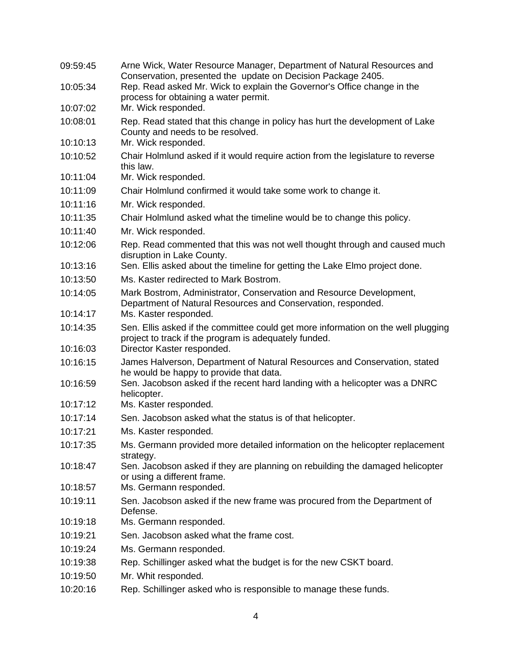| 09:59:45 | Arne Wick, Water Resource Manager, Department of Natural Resources and<br>Conservation, presented the update on Decision Package 2405.     |
|----------|--------------------------------------------------------------------------------------------------------------------------------------------|
| 10:05:34 | Rep. Read asked Mr. Wick to explain the Governor's Office change in the                                                                    |
|          | process for obtaining a water permit.                                                                                                      |
| 10:07:02 | Mr. Wick responded.                                                                                                                        |
| 10:08:01 | Rep. Read stated that this change in policy has hurt the development of Lake<br>County and needs to be resolved.                           |
| 10:10:13 | Mr. Wick responded.                                                                                                                        |
| 10:10:52 | Chair Holmlund asked if it would require action from the legislature to reverse<br>this law.                                               |
| 10:11:04 | Mr. Wick responded.                                                                                                                        |
| 10:11:09 | Chair Holmlund confirmed it would take some work to change it.                                                                             |
| 10:11:16 | Mr. Wick responded.                                                                                                                        |
| 10:11:35 | Chair Holmlund asked what the timeline would be to change this policy.                                                                     |
| 10:11:40 | Mr. Wick responded.                                                                                                                        |
| 10:12:06 | Rep. Read commented that this was not well thought through and caused much<br>disruption in Lake County.                                   |
| 10:13:16 | Sen. Ellis asked about the timeline for getting the Lake Elmo project done.                                                                |
| 10:13:50 | Ms. Kaster redirected to Mark Bostrom.                                                                                                     |
| 10:14:05 | Mark Bostrom, Administrator, Conservation and Resource Development,<br>Department of Natural Resources and Conservation, responded.        |
| 10:14:17 | Ms. Kaster responded.                                                                                                                      |
| 10:14:35 | Sen. Ellis asked if the committee could get more information on the well plugging<br>project to track if the program is adequately funded. |
| 10:16:03 | Director Kaster responded.                                                                                                                 |
| 10:16:15 | James Halverson, Department of Natural Resources and Conservation, stated<br>he would be happy to provide that data.                       |
| 10:16:59 | Sen. Jacobson asked if the recent hard landing with a helicopter was a DNRC<br>helicopter.                                                 |
| 10:17:12 | Ms. Kaster responded.                                                                                                                      |
| 10:17:14 | Sen. Jacobson asked what the status is of that helicopter.                                                                                 |
| 10:17:21 | Ms. Kaster responded.                                                                                                                      |
| 10:17:35 | Ms. Germann provided more detailed information on the helicopter replacement<br>strategy.                                                  |
| 10:18:47 | Sen. Jacobson asked if they are planning on rebuilding the damaged helicopter<br>or using a different frame.                               |
| 10:18:57 | Ms. Germann responded.                                                                                                                     |
| 10:19:11 | Sen. Jacobson asked if the new frame was procured from the Department of<br>Defense.                                                       |
| 10:19:18 | Ms. Germann responded.                                                                                                                     |
| 10:19:21 | Sen. Jacobson asked what the frame cost.                                                                                                   |
| 10:19:24 | Ms. Germann responded.                                                                                                                     |
| 10:19:38 | Rep. Schillinger asked what the budget is for the new CSKT board.                                                                          |
| 10:19:50 | Mr. Whit responded.                                                                                                                        |
| 10:20:16 | Rep. Schillinger asked who is responsible to manage these funds.                                                                           |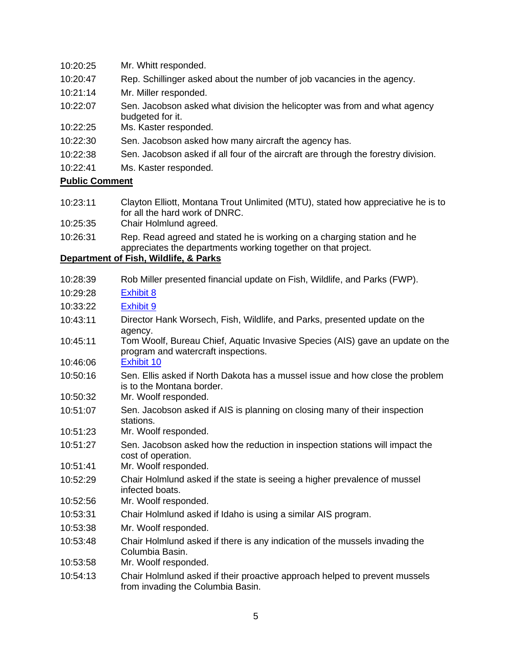| 10:20:25 |  | Mr. Whitt responded. |
|----------|--|----------------------|
|----------|--|----------------------|

- 10:20:47 Rep. Schillinger asked about the number of job vacancies in the agency.
- 10:21:14 Mr. Miller responded.
- 10:22:07 Sen. Jacobson asked what division the helicopter was from and what agency budgeted for it.
- 10:22:25 Ms. Kaster responded.
- 10:22:30 Sen. Jacobson asked how many aircraft the agency has.
- 10:22:38 Sen. Jacobson asked if all four of the aircraft are through the forestry division.
- 10:22:41 Ms. Kaster responded.

- 10:23:11 Clayton Elliott, Montana Trout Unlimited (MTU), stated how appreciative he is to for all the hard work of DNRC.
- 10:25:35 Chair Holmlund agreed.
- 10:26:31 Rep. Read agreed and stated he is working on a charging station and he appreciates the departments working together on that project.

#### **Department of Fish, Wildlife, & Parks**

- 10:28:39 Rob Miller presented financial update on Fish, Wildlife, and Parks (FWP). 10:29:28 [Exhibit 8](https://leg.mt.gov/content/publications/fiscal/2023-Interim/IBC-C/FWP-State-Special-Revenue-Overview_GM_MD.pdf)
- 
- 10:33:22 [Exhibit 9](https://leg.mt.gov/content/publications/fiscal/2023-Interim/FY22-March/FWP.pdf)
- 10:43:11 Director Hank Worsech, Fish, Wildlife, and Parks, presented update on the agency.
- 10:45:11 Tom Woolf, Bureau Chief, Aquatic Invasive Species (AIS) gave an update on the program and watercraft inspections.
- 10:46:06 [Exhibit 10](https://leg.mt.gov/content/publications/fiscal/2023-Interim/IBC-C/AIS-Program-Costs.pdf)
- 10:50:16 Sen. Ellis asked if North Dakota has a mussel issue and how close the problem is to the Montana border.
- 10:50:32 Mr. Woolf responded.
- 10:51:07 Sen. Jacobson asked if AIS is planning on closing many of their inspection stations.
- 10:51:23 Mr. Woolf responded.
- 10:51:27 Sen. Jacobson asked how the reduction in inspection stations will impact the cost of operation.
- 10:51:41 Mr. Woolf responded.
- 10:52:29 Chair Holmlund asked if the state is seeing a higher prevalence of mussel infected boats.
- 10:52:56 Mr. Woolf responded.
- 10:53:31 Chair Holmlund asked if Idaho is using a similar AIS program.
- 10:53:38 Mr. Woolf responded.
- 10:53:48 Chair Holmlund asked if there is any indication of the mussels invading the Columbia Basin.
- 10:53:58 Mr. Woolf responded.
- 10:54:13 Chair Holmlund asked if their proactive approach helped to prevent mussels from invading the Columbia Basin.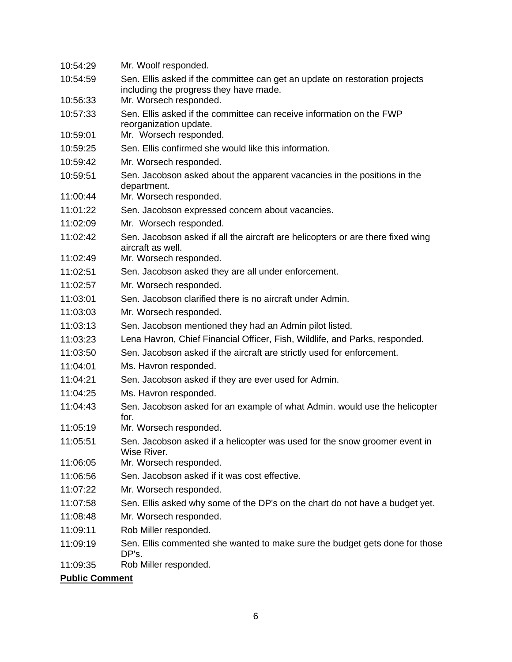| 10:54:29 | Mr. Woolf responded.                                                                                                  |
|----------|-----------------------------------------------------------------------------------------------------------------------|
| 10:54:59 | Sen. Ellis asked if the committee can get an update on restoration projects<br>including the progress they have made. |
| 10:56:33 | Mr. Worsech responded.                                                                                                |
| 10:57:33 | Sen. Ellis asked if the committee can receive information on the FWP<br>reorganization update.                        |
| 10:59:01 | Mr. Worsech responded.                                                                                                |
| 10:59:25 | Sen. Ellis confirmed she would like this information.                                                                 |
| 10:59:42 | Mr. Worsech responded.                                                                                                |
| 10:59:51 | Sen. Jacobson asked about the apparent vacancies in the positions in the<br>department.                               |
| 11:00:44 | Mr. Worsech responded.                                                                                                |
| 11:01:22 | Sen. Jacobson expressed concern about vacancies.                                                                      |
| 11:02:09 | Mr. Worsech responded.                                                                                                |
| 11:02:42 | Sen. Jacobson asked if all the aircraft are helicopters or are there fixed wing<br>aircraft as well.                  |
| 11:02:49 | Mr. Worsech responded.                                                                                                |
| 11:02:51 | Sen. Jacobson asked they are all under enforcement.                                                                   |
| 11:02:57 | Mr. Worsech responded.                                                                                                |
| 11:03:01 | Sen. Jacobson clarified there is no aircraft under Admin.                                                             |
| 11:03:03 | Mr. Worsech responded.                                                                                                |
| 11:03:13 | Sen. Jacobson mentioned they had an Admin pilot listed.                                                               |
| 11:03:23 | Lena Havron, Chief Financial Officer, Fish, Wildlife, and Parks, responded.                                           |
| 11:03:50 | Sen. Jacobson asked if the aircraft are strictly used for enforcement.                                                |
| 11:04:01 | Ms. Havron responded.                                                                                                 |
| 11:04:21 | Sen. Jacobson asked if they are ever used for Admin.                                                                  |
| 11:04:25 | Ms. Havron responded.                                                                                                 |
| 11:04:43 | Sen. Jacobson asked for an example of what Admin. would use the helicopter<br>for.                                    |
| 11:05:19 | Mr. Worsech responded.                                                                                                |
| 11:05:51 | Sen. Jacobson asked if a helicopter was used for the snow groomer event in<br>Wise River.                             |
| 11:06:05 | Mr. Worsech responded.                                                                                                |
| 11:06:56 | Sen. Jacobson asked if it was cost effective.                                                                         |
| 11:07:22 | Mr. Worsech responded.                                                                                                |
| 11:07:58 | Sen. Ellis asked why some of the DP's on the chart do not have a budget yet.                                          |
| 11:08:48 | Mr. Worsech responded.                                                                                                |
| 11:09:11 | Rob Miller responded.                                                                                                 |
| 11:09:19 | Sen. Ellis commented she wanted to make sure the budget gets done for those<br>DP's.                                  |
| 11:09:35 | Rob Miller responded.                                                                                                 |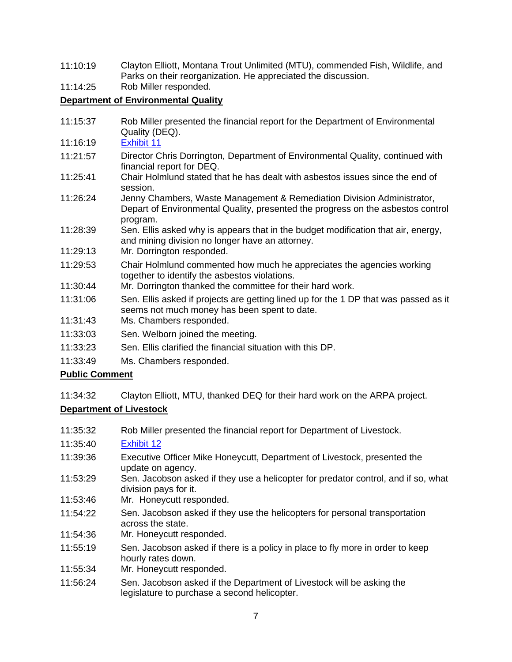- 11:10:19 Clayton Elliott, Montana Trout Unlimited (MTU), commended Fish, Wildlife, and Parks on their reorganization. He appreciated the discussion.
- 11:14:25 Rob Miller responded.

# **Department of Environmental Quality**

- 11:15:37 Rob Miller presented the financial report for the Department of Environmental Quality (DEQ).
- 11:16:19 [Exhibit 11](https://leg.mt.gov/content/publications/fiscal/2023-Interim/FY22-March/DEQ.pdf)
- 11:21:57 Director Chris Dorrington, Department of Environmental Quality, continued with financial report for DEQ.
- 11:25:41 Chair Holmlund stated that he has dealt with asbestos issues since the end of session.
- 11:26:24 Jenny Chambers, Waste Management & Remediation Division Administrator, Depart of Environmental Quality, presented the progress on the asbestos control program.
- 11:28:39 Sen. Ellis asked why is appears that in the budget modification that air, energy, and mining division no longer have an attorney.
- 11:29:13 Mr. Dorrington responded.
- 11:29:53 Chair Holmlund commented how much he appreciates the agencies working together to identify the asbestos violations.
- 11:30:44 Mr. Dorrington thanked the committee for their hard work.
- 11:31:06 Sen. Ellis asked if projects are getting lined up for the 1 DP that was passed as it seems not much money has been spent to date.
- 11:31:43 Ms. Chambers responded.
- 11:33:03 Sen. Welborn joined the meeting.
- 11:33:23 Sen. Ellis clarified the financial situation with this DP.
- 11:33:49 Ms. Chambers responded.

# **Public Comment**

11:34:32 Clayton Elliott, MTU, thanked DEQ for their hard work on the ARPA project.

# **Department of Livestock**

- 11:35:32 Rob Miller presented the financial report for Department of Livestock.
- 11:35:40 [Exhibit 12](https://leg.mt.gov/content/publications/fiscal/2023-Interim/FY22-March/Livestock.pdf)
- 11:39:36 Executive Officer Mike Honeycutt, Department of Livestock, presented the update on agency.
- 11:53:29 Sen. Jacobson asked if they use a helicopter for predator control, and if so, what division pays for it.
- 11:53:46 Mr. Honeycutt responded.
- 11:54:22 Sen. Jacobson asked if they use the helicopters for personal transportation across the state.
- 11:54:36 Mr. Honeycutt responded.
- 11:55:19 Sen. Jacobson asked if there is a policy in place to fly more in order to keep hourly rates down.
- 11:55:34 Mr. Honeycutt responded.
- 11:56:24 Sen. Jacobson asked if the Department of Livestock will be asking the legislature to purchase a second helicopter.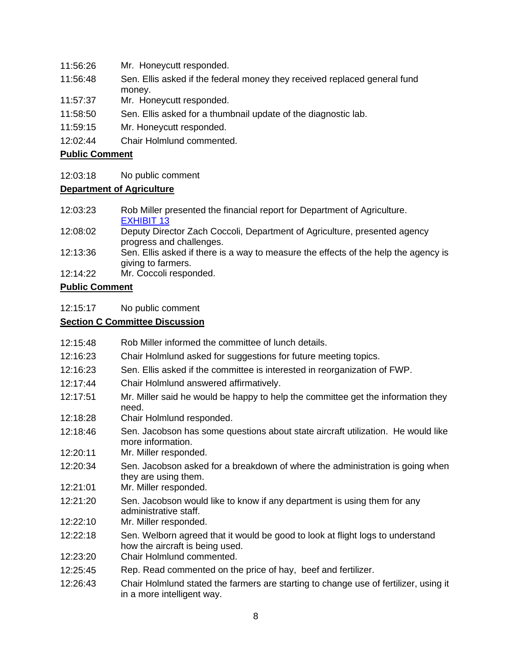- 11:56:26 Mr. Honeycutt responded.
- 11:56:48 Sen. Ellis asked if the federal money they received replaced general fund money.
- 11:57:37 Mr. Honeycutt responded.
- 11:58:50 Sen. Ellis asked for a thumbnail update of the diagnostic lab.
- 11:59:15 Mr. Honeycutt responded.
- 12:02:44 Chair Holmlund commented.

12:03:18 No public comment

#### **Department of Agriculture**

- 12:03:23 Rob Miller presented the financial report for Department of Agriculture. [EXHIBIT 13](https://leg.mt.gov/content/publications/fiscal/2023-Interim/FY22-March/AG.pdf)
- 12:08:02 Deputy Director Zach Coccoli, Department of Agriculture, presented agency progress and challenges.
- 12:13:36 Sen. Ellis asked if there is a way to measure the effects of the help the agency is giving to farmers.
- 12:14:22 Mr. Coccoli responded.

#### **Public Comment**

12:15:17 No public comment

# **Section C Committee Discussion**

- 12:15:48 Rob Miller informed the committee of lunch details.
- 12:16:23 Chair Holmlund asked for suggestions for future meeting topics.
- 12:16:23 Sen. Ellis asked if the committee is interested in reorganization of FWP.
- 12:17:44 Chair Holmlund answered affirmatively.
- 12:17:51 Mr. Miller said he would be happy to help the committee get the information they need.
- 12:18:28 Chair Holmlund responded.
- 12:18:46 Sen. Jacobson has some questions about state aircraft utilization. He would like more information.
- 12:20:11 Mr. Miller responded.
- 12:20:34 Sen. Jacobson asked for a breakdown of where the administration is going when they are using them.
- 12:21:01 Mr. Miller responded.
- 12:21:20 Sen. Jacobson would like to know if any department is using them for any administrative staff.
- 12:22:10 Mr. Miller responded.
- 12:22:18 Sen. Welborn agreed that it would be good to look at flight logs to understand how the aircraft is being used.
- 12:23:20 Chair Holmlund commented.
- 12:25:45 Rep. Read commented on the price of hay, beef and fertilizer.
- 12:26:43 Chair Holmlund stated the farmers are starting to change use of fertilizer, using it in a more intelligent way.